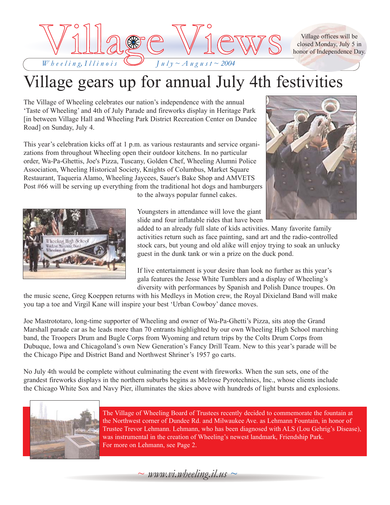

Village offices will be closed Monday, July 5 in honor of Independence Day.

### Village gears up for annual July 4th festivities

The Village of Wheeling celebrates our nation's independence with the annual 'Taste of Wheeling' and 4th of July Parade and fireworks display in Heritage Park [in between Village Hall and Wheeling Park District Recreation Center on Dundee Road] on Sunday, July 4.

This year's celebration kicks off at 1 p.m. as various restaurants and service organizations from throughout Wheeling open their outdoor kitchens. In no particular order, Wa-Pa-Ghettis, Joe's Pizza, Tuscany, Golden Chef, Wheeling Alumni Police Association, Wheeling Historical Society, Knights of Columbus, Market Square Restaurant, Taqueria Alamo, Wheeling Jaycees, Sauer's Bake Shop and AMVETS Post #66 will be serving up everything from the traditional hot dogs and hamburgers to the always popular funnel cakes.





Youngsters in attendance will love the giant slide and four inflatable rides that have been

added to an already full slate of kids activities. Many favorite family activities return such as face painting, sand art and the radio-controlled stock cars, but young and old alike will enjoy trying to soak an unlucky guest in the dunk tank or win a prize on the duck pond.

If live entertainment is your desire than look no further as this year's gala features the Jesse White Tumblers and a display of Wheeling's diversity with performances by Spanish and Polish Dance troupes. On

the music scene, Greg Koeppen returns with his Medleys in Motion crew, the Royal Dixieland Band will make you tap a toe and Virgil Kane will inspire your best 'Urban Cowboy' dance moves.

Joe Mastrototaro, long-time supporter of Wheeling and owner of Wa-Pa-Ghetti's Pizza, sits atop the Grand Marshall parade car as he leads more than 70 entrants highlighted by our own Wheeling High School marching band, the Troopers Drum and Bugle Corps from Wyoming and return trips by the Colts Drum Corps from Dubuque, Iowa and Chicagoland's own New Generation's Fancy Drill Team. New to this year's parade will be the Chicago Pipe and District Band and Northwest Shriner's 1957 go carts.

No July 4th would be complete without culminating the event with fireworks. When the sun sets, one of the grandest fireworks displays in the northern suburbs begins as Melrose Pyrotechnics, Inc., whose clients include the Chicago White Sox and Navy Pier, illuminates the skies above with hundreds of light bursts and explosions.



The Village of Wheeling Board of Trustees recently decided to commemorate the fountain at the Northwest corner of Dundee Rd. and Milwaukee Ave. as Lehmann Fountain, in honor of Trustee Trevor Lehmann. Lehmann, who has been diagnosed with ALS (Lou Gehrig's Disease), was instrumental in the creation of Wheeling's newest landmark, Friendship Park. For more on Lehmann, see Page 2.

 $\sim$  *www.vi.wheeling.il.us*  $\sim$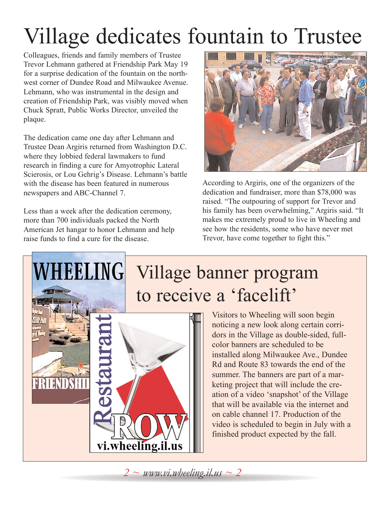# Village dedicates fountain to Trustee

Colleagues, friends and family members of Trustee Trevor Lehmann gathered at Friendship Park May 19 for a surprise dedication of the fountain on the northwest corner of Dundee Road and Milwaukee Avenue. Lehmann, who was instrumental in the design and creation of Friendship Park, was visibly moved when Chuck Spratt, Public Works Director, unveiled the plaque.

The dedication came one day after Lehmann and Trustee Dean Argiris returned from Washington D.C. where they lobbied federal lawmakers to fund research in finding a cure for Amyotrophic Lateral Scierosis, or Lou Gehrig's Disease. Lehmann's battle with the disease has been featured in numerous newspapers and ABC-Channel 7.

Less than a week after the dedication ceremony, more than 700 individuals packed the North American Jet hangar to honor Lehmann and help raise funds to find a cure for the disease.

**HEELING** 

ERTENT



According to Argiris, one of the organizers of the dedication and fundraiser, more than \$78,000 was raised. "The outpouring of support for Trevor and his family has been overwhelming," Argiris said. "It makes me extremely proud to live in Wheeling and see how the residents, some who have never met Trevor, have come together to fight this."

# Village banner program to receive a 'facelift'

Visitors to Wheeling will soon begin noticing a new look along certain corridors in the Village as double-sided, fullcolor banners are scheduled to be installed along Milwaukee Ave., Dundee Rd and Route 83 towards the end of the summer. The banners are part of a marketing project that will include the creation of a video 'snapshot' of the Village that will be available via the internet and on cable channel 17. Production of the video is scheduled to begin in July with a finished product expected by the fall.

*2 ~ www.vi.wheeling.il.us ~ 2*

vi.wheeling.il.us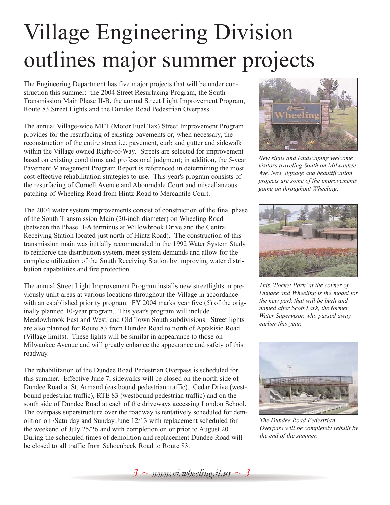# Village Engineering Division outlines major summer projects

The Engineering Department has five major projects that will be under construction this summer: the 2004 Street Resurfacing Program, the South Transmission Main Phase II-B, the annual Street Light Improvement Program, Route 83 Street Lights and the Dundee Road Pedestrian Overpass.

The annual Village-wide MFT (Motor Fuel Tax) Street Improvement Program provides for the resurfacing of existing pavements or, when necessary, the reconstruction of the entire street i.e. pavement, curb and gutter and sidewalk within the Village owned Right-of-Way. Streets are selected for improvement based on existing conditions and professional judgment; in addition, the 5-year Pavement Management Program Report is referenced in determining the most cost-effective rehabilitation strategies to use. This year's program consists of the resurfacing of Cornell Avenue and Abourndale Court and miscellaneous patching of Wheeling Road from Hintz Road to Mercantile Court.

The 2004 water system improvements consist of construction of the final phase of the South Transmission Main (20-inch diameter) on Wheeling Road (between the Phase II-A terminus at Willowbrook Drive and the Central Receiving Station located just north of Hintz Road). The construction of this transmission main was initially recommended in the 1992 Water System Study to reinforce the distribution system, meet system demands and allow for the complete utilization of the South Receiving Station by improving water distribution capabilities and fire protection.

The annual Street Light Improvement Program installs new streetlights in previously unlit areas at various locations throughout the Village in accordance with an established priority program. FY 2004 marks year five (5) of the originally planned 10-year program. This year's program will include Meadowbrook East and West, and Old Town South subdivisions. Street lights are also planned for Route 83 from Dundee Road to north of Aptakisic Road (Village limits). These lights will be similar in appearance to those on Milwaukee Avenue and will greatly enhance the appearance and safety of this roadway.

The rehabilitation of the Dundee Road Pedestrian Overpass is scheduled for this summer. Effective June 7, sidewalks will be closed on the north side of Dundee Road at St. Armand (eastbound pedestrian traffic), Cedar Drive (westbound pedestrian traffic), RTE 83 (westbound pedestrian traffic) and on the south side of Dundee Road at each of the driveways accessing London School. The overpass superstructure over the roadway is tentatively scheduled for demolition on /Saturday and Sunday June 12/13 with replacement scheduled for the weekend of July 25/26 and with completion on or prior to August 20. During the scheduled times of demolition and replacement Dundee Road will be closed to all traffic from Schoenbeck Road to Route 83.



*New signs and landscaping welcome visitors traveling South on Milwaukee Ave. New signage and beautification projects are some of the improvements going on throughout Wheeling.*



*This 'Pocket Park' at the corner of Dundee and Wheeling is the model for the new park that will be built and named after Scott Lark, the former Water Supervisor, who passed away earlier this year.*



*The Dundee Road Pedestrian Overpass will be completely rebuilt by the end of the summer.*

*3 ~ www.vi.wheeling.il.us ~ 3*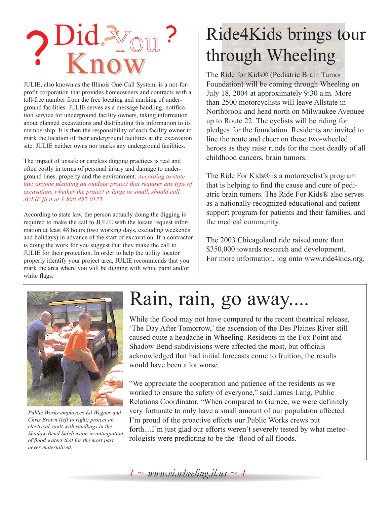

JULIE, also known as the Illinois One-Call System, is a not-forprofit corporation that provides homeowners and contracts with a toll-free number from the free locating and marking of underground facilities. JULIE serves as a message handling, notification service for underground facility owners, taking information about planned excavations and distributing this information to its membership. It is then the responsibility of each facility owner to mark the location of their underground facilities at the excavation site. JULIE neither owns nor marks any underground facilities.

The impact of unsafe or careless digging practices is real and often costly in terms of personal injury and damage to underground lines, property and the environment. *According to state law, anyone planning an outdoor project that requires any type of excavation, whether the project is large or small, should call JULIE first at 1-800-892-0123.*

According to state law, the person actually doing the digging is required to make the call to JULIE with the locate request information at least 48 hours (two working days, excluding weekends and holidays) in advance of the start of excavation. If a contractor is doing the work for you suggest that they make the call to JULIE for their protection. In order to help the utility locator properly identify your project area, JULIE recommends that you mark the area where you will be digging with white paint and/or white flags.

# Ride4Kids brings tour through Wheeling

The Ride for Kids® (Pediatric Brain Tumor Foundation) will be coming through Wheeling on July 18, 2004 at approximately 9:30 a.m. More than 2500 motorcyclists will leave Allstate in Northbrook and head north on Milwaukee Avenuee up to Route 22. The cyclists will be riding for pledges for the foundation. Residents are invited to line the route and cheer on these two-wheeled heroes as they raise runds for the most deadly of all childhood cancers, brain tumors.

The Ride For Kids® is a motorcyclist's program that is helping to find the cause and cure of pediatric brain tumors. The Ride For Kids® also serves as a nationally recognized educational and patient support program for patients and their families, and the medical community.

The 2003 Chicagoland ride raised more than \$350,000 towards research and development. For more information, log onto www.ride4kids.org.



*Public Works employees Ed Wegner and Chris Brown (left to right) protect an electrical vault with sandbags in the Shadow Bend Subdivision in anticipation of flood waters that for the most part never materialized.*

# Rain, rain, go away....

While the flood may not have compared to the recent theatrical release, 'The Day After Tomorrow,' the ascension of the Des Plaines River still caused quite a headache in Wheeling. Residents in the Fox Point and Shadow Bend subdivisions were affected the most, but officials acknowledged that had initial forecasts come to fruition, the results would have been a lot worse.

"We appreciate the cooperation and patience of the residents as we worked to ensure the safety of everyone," said James Lang, Public Relations Coordinator. "When compared to Gurnee, we were definitely very fortunate to only have a small amount of our population affected. I'm proud of the proactive efforts our Public Works crews put forth....I'm just glad our efforts weren't severely tested by what meteorologists were predicting to be the 'flood of all floods.'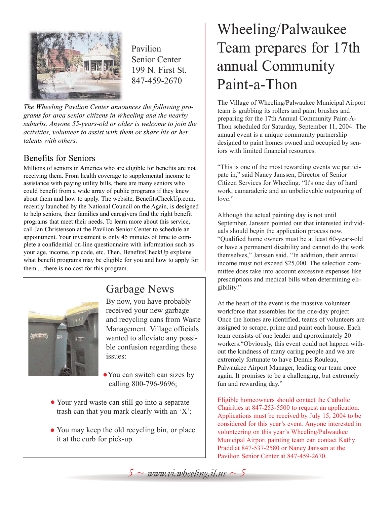

Pavilion Senior Center 199 N. First St. 847-459-2670

*The Wheeling Pavilion Center announces the following programs for area senior citizens in Wheeling and the nearby suburbs. Anyone 55-years-old or older is welcome to join the activities, volunteer to assist with them or share his or her talents with others.*

#### Benefits for Seniors

Millions of seniors in America who are eligible for benefits are not receiving them. From health coverage to supplemental income to assistance with paying utility bills, there are many seniors who could benefit from a wide array of public programs if they knew about them and how to apply. The website, BenefitsCheckUp.com, recently launched by the National Council on the Again, is designed to help seniors, their families and caregivers find the right benefit programs that meet their needs. To learn more about this service, call Jan Christenson at the Pavilion Senior Center to schedule an appointment. Your investment is only 45 minutes of time to complete a confidential on-line questionnaire with information such as your age, income, zip code, etc. Then, BenefitsCheckUp explains what benefit programs may be eligible for you and how to apply for them.....there is no cost for this program.



### Garbage News

By now, you have probably received your new garbage and recycling cans from Waste Management. Village officials wanted to alleviate any possible confusion regarding these issues:

- You can switch can sizes by calling 800-796-9696;
- Your yard waste can still go into a separate trash can that you mark clearly with an 'X';
- You may keep the old recycling bin, or place it at the curb for pick-up.

### Wheeling/Palwaukee Team prepares for 17th annual Community Paint-a-Thon

The Village of Wheeling/Palwaukee Municipal Airport team is grabbing its rollers and paint brushes and preparing for the 17th Annual Community Paint-A-Thon scheduled for Saturday, September 11, 2004. The annual event is a unique community partnership designed to paint homes owned and occupied by seniors with limited financial resources.

"This is one of the most rewarding events we participate in," said Nancy Janssen, Director of Senior Citizen Services for Wheeling. "It's one day of hard work, camaraderie and an unbelievable outpouring of love."

Although the actual painting day is not until September, Janssen pointed out that interested individuals should begin the application process now. "Qualified home owners must be at least 60-years-old or have a permanent disability and cannot do the work themselves," Janssen said. "In addition, their annual income must not exceed \$25,000. The selection committee does take into account excessive expenses like prescriptions and medical bills when determining eligibility."

At the heart of the event is the massive volunteer workforce that assembles for the one-day project. Once the homes are identified, teams of volunteers are assigned to scrape, prime and paint each house. Each team consists of one leader and approximately 20 workers."Obviously, this event could not happen without the kindness of many caring people and we are extremely fortunate to have Dennis Rouleau, Palwaukee Airport Manager, leading our team once again. It promises to be a challenging, but extremely fun and rewarding day."

Eligible homeowners should contact the Catholic Chairities at 847-253-5500 to request an application. Applications must be received by July 15, 2004 to be considered for this year's event. Anyone interested in volunteering on this year's Wheeling/Palwaukee Municipal Airport painting team can contact Kathy Pradd at 847-537-2580 or Nancy Janssen at the Pavilion Senior Center at 847-459-2670.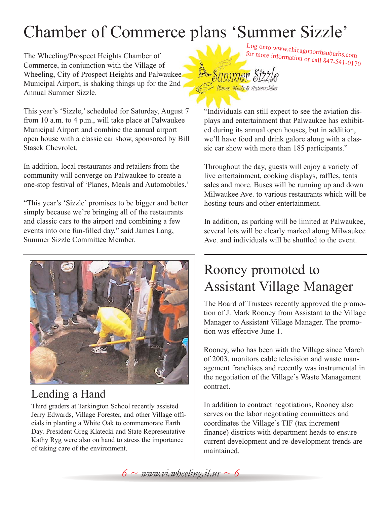# Chamber of Commerce plans 'Summer Sizzle'

The Wheeling/Prospect Heights Chamber of Commerce, in conjunction with the Village of Wheeling, City of Prospect Heights and Palwaukee Municipal Airport, is shaking things up for the 2nd Annual Summer Sizzle.

This year's 'Sizzle,' scheduled for Saturday, August 7 from 10 a.m. to 4 p.m., will take place at Palwaukee Municipal Airport and combine the annual airport open house with a classic car show, sponsored by Bill Stasek Chevrolet.

In addition, local restaurants and retailers from the community will converge on Palwaukee to create a one-stop festival of 'Planes, Meals and Automobiles.'

"This year's 'Sizzle' promises to be bigger and better simply because we're bringing all of the restaurants and classic cars to the airport and combining a few events into one fun-filled day," said James Lang, Summer Sizzle Committee Member.



### Lending a Hand

Third graders at Tarkington School recently assisted Jerry Edwards, Village Forester, and other Village officials in planting a White Oak to commemorate Earth Day. President Greg Klatecki and State Representative Kathy Ryg were also on hand to stress the importance of taking care of the environment.

Log onto www.chicagonorthsuburbs.com for more information or call 847-541-0170



Simmer Sizzle

Throughout the day, guests will enjoy a variety of live entertainment, cooking displays, raffles, tents sales and more. Buses will be running up and down Milwaukee Ave. to various restaurants which will be hosting tours and other entertainment.

In addition, as parking will be limited at Palwaukee, several lots will be clearly marked along Milwaukee Ave. and individuals will be shuttled to the event.

### Rooney promoted to Assistant Village Manager

The Board of Trustees recently approved the promotion of J. Mark Rooney from Assistant to the Village Manager to Assistant Village Manager. The promotion was effective June 1.

Rooney, who has been with the Village since March of 2003, monitors cable television and waste management franchises and recently was instrumental in the negotiation of the Village's Waste Management contract.

In addition to contract negotiations, Rooney also serves on the labor negotiating committees and coordinates the Village's TIF (tax increment finance) districts with department heads to ensure current development and re-development trends are maintained.

 $6 \sim$  *www.vi.wheeling.il.us*  $\sim$  6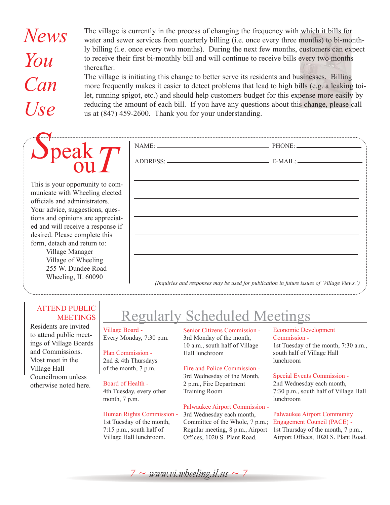*News You Can*  The village is currently in the process of changing the frequency with which it bills for water and sewer services from quarterly billing (i.e. once every three months) to bi-monthly billing (i.e. once every two months). During the next few months, customers can expect to receive their first bi-monthly bill and will continue to receive bills every two months thereafter. The village is initiating this change to better serve its residents and businesses. Billing more frequently makes it easier to detect problems that lead to high bills (e.g. a leaking toilet, running spigot, etc.) and should help customers budget for this expense more easily by

*Use* reducing the amount of each bill. If you have any questions about this change, please call us at (847) 459-2600. Thank you for your understanding.

#### *S*peak ou*T* NAME: PHONE: ADDRESS: E-MAIL: This is your opportunity to communicate with Wheeling elected officials and administrators.

ed and will receive a response if desired. Please complete this form, detach and return to: Village Manager Village of Wheeling 255 W. Dundee Road

Your advice, suggestions, questions and opinions are appreciat-

Wheeling, IL 60090

#### ATTEND PUBLIC **MEETINGS**

Residents are invited to attend public meetings of Village Boards and Commissions. Most meet in the Village Hall Councilroom unless otherwise noted here.

## Regularly Scheduled Meetings

#### Village Board - Every Monday, 7:30 p.m.

Plan Commission - 2nd & 4th Thursdays of the month, 7 p.m.

#### Board of Health -

4th Tuesday, every other month, 7 p.m.

#### Human Rights Commission -

1st Tuesday of the month, 7:15 p.m., south half of Village Hall lunchroom.

Senior Citizens Commission - 3rd Monday of the month, 10 a.m., south half of Village Hall lunchroom

*(Inquiries and responses may be used for publication in future issues of 'Village Views.')*

#### Fire and Police Commission -

3rd Wednesday of the Month, 2 p.m., Fire Department Training Room

#### Palwaukee Airport Commission -

3rd Wednesday each month, Committee of the Whole, 7 p.m.; Regular meeting, 8 p.m., Airport Offices, 1020 S. Plant Road.

#### Economic Development Commission - 1st Tuesday of the month, 7:30 a.m., south half of Village Hall

lunchroom

#### Special Events Commission -

2nd Wednesday each month, 7:30 p.m., south half of Village Hall lunchroom

Palwaukee Airport Community Engagement Council (PACE) - 1st Thursday of the month, 7 p.m., Airport Offices, 1020 S. Plant Road.

 $7 \sim$  *www.vi.wheeling.il.us*  $\sim$  7